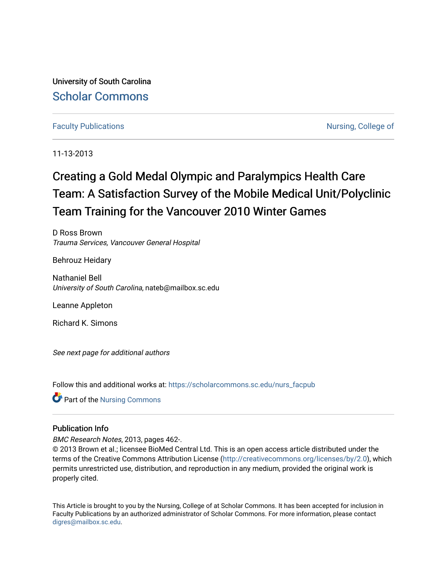University of South Carolina [Scholar Commons](https://scholarcommons.sc.edu/) 

# [Faculty Publications](https://scholarcommons.sc.edu/nurs_facpub) **Nursing, College of**  $\blacksquare$

11-13-2013

# Creating a Gold Medal Olympic and Paralympics Health Care Team: A Satisfaction Survey of the Mobile Medical Unit/Polyclinic Team Training for the Vancouver 2010 Winter Games

D Ross Brown Trauma Services, Vancouver General Hospital

Behrouz Heidary

Nathaniel Bell University of South Carolina, nateb@mailbox.sc.edu

Leanne Appleton

Richard K. Simons

See next page for additional authors

Follow this and additional works at: [https://scholarcommons.sc.edu/nurs\\_facpub](https://scholarcommons.sc.edu/nurs_facpub?utm_source=scholarcommons.sc.edu%2Fnurs_facpub%2F18&utm_medium=PDF&utm_campaign=PDFCoverPages) 

Part of the [Nursing Commons](http://network.bepress.com/hgg/discipline/718?utm_source=scholarcommons.sc.edu%2Fnurs_facpub%2F18&utm_medium=PDF&utm_campaign=PDFCoverPages) 

# Publication Info

BMC Research Notes, 2013, pages 462-.

© 2013 Brown et al.; licensee BioMed Central Ltd. This is an open access article distributed under the terms of the Creative Commons Attribution License [\(http://creativecommons.org/licenses/by/2.0\)](http://creativecommons.org/licenses/by/2.0), which permits unrestricted use, distribution, and reproduction in any medium, provided the original work is properly cited.

This Article is brought to you by the Nursing, College of at Scholar Commons. It has been accepted for inclusion in Faculty Publications by an authorized administrator of Scholar Commons. For more information, please contact [digres@mailbox.sc.edu](mailto:digres@mailbox.sc.edu).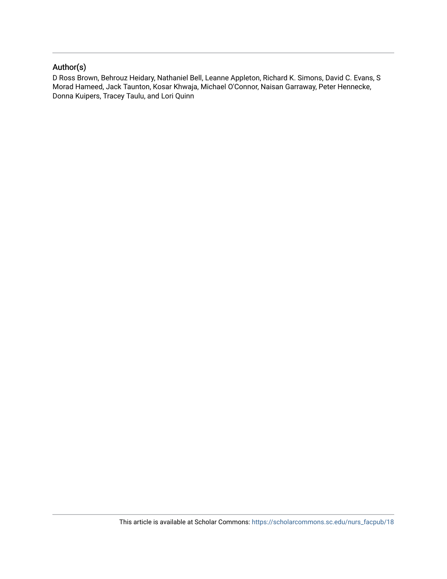# Author(s)

D Ross Brown, Behrouz Heidary, Nathaniel Bell, Leanne Appleton, Richard K. Simons, David C. Evans, S Morad Hameed, Jack Taunton, Kosar Khwaja, Michael O'Connor, Naisan Garraway, Peter Hennecke, Donna Kuipers, Tracey Taulu, and Lori Quinn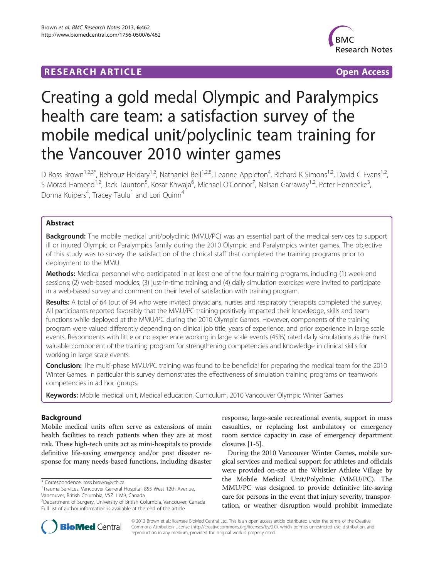# **RESEARCH ARTICLE Example 2018 12:00 Department of the COVID-TIGGS 2019 12:00 Open Access**



# Creating a gold medal Olympic and Paralympics health care team: a satisfaction survey of the mobile medical unit/polyclinic team training for the Vancouver 2010 winter games

D Ross Brown<sup>1,2,3\*</sup>, Behrouz Heidary<sup>1,2</sup>, Nathaniel Bell<sup>1,2,8</sup>, Leanne Appleton<sup>4</sup>, Richard K Simons<sup>1,2</sup>, David C Evans<sup>1,2</sup>, S Morad Hameed<sup>1,2</sup>, Jack Taunton<sup>5</sup>, Kosar Khwaja<sup>6</sup>, Michael O'Connor<sup>7</sup>, Naisan Garraway<sup>1,2</sup>, Peter Hennecke<sup>3</sup> , Donna Kuipers<sup>4</sup>, Tracey Taulu<sup>1</sup> and Lori Quinn<sup>4</sup>

# Abstract

**Background:** The mobile medical unit/polyclinic (MMU/PC) was an essential part of the medical services to support ill or injured Olympic or Paralympics family during the 2010 Olympic and Paralympics winter games. The objective of this study was to survey the satisfaction of the clinical staff that completed the training programs prior to deployment to the MMU.

Methods: Medical personnel who participated in at least one of the four training programs, including (1) week-end sessions; (2) web-based modules; (3) just-in-time training; and (4) daily simulation exercises were invited to participate in a web-based survey and comment on their level of satisfaction with training program.

Results: A total of 64 (out of 94 who were invited) physicians, nurses and respiratory therapists completed the survey. All participants reported favorably that the MMU/PC training positively impacted their knowledge, skills and team functions while deployed at the MMU/PC during the 2010 Olympic Games. However, components of the training program were valued differently depending on clinical job title, years of experience, and prior experience in large scale events. Respondents with little or no experience working in large scale events (45%) rated daily simulations as the most valuable component of the training program for strengthening competencies and knowledge in clinical skills for working in large scale events.

Conclusion: The multi-phase MMU/PC training was found to be beneficial for preparing the medical team for the 2010 Winter Games. In particular this survey demonstrates the effectiveness of simulation training programs on teamwork competencies in ad hoc groups.

Keywords: Mobile medical unit, Medical education, Curriculum, 2010 Vancouver Olympic Winter Games

# Background

Mobile medical units often serve as extensions of main health facilities to reach patients when they are at most risk. These high-tech units act as mini-hospitals to provide definitive life-saving emergency and/or post disaster response for many needs-based functions, including disaster

\* Correspondence: [ross.brown@vch.ca](mailto:ross.brown@vch.ca) <sup>1</sup>

response, large-scale recreational events, support in mass casualties, or replacing lost ambulatory or emergency room service capacity in case of emergency department closures [[1-5\]](#page-9-0).

During the 2010 Vancouver Winter Games, mobile surgical services and medical support for athletes and officials were provided on-site at the Whistler Athlete Village by the Mobile Medical Unit/Polyclinic (MMU/PC). The MMU/PC was designed to provide definitive life-saving care for persons in the event that injury severity, transportation, or weather disruption would prohibit immediate



© 2013 Brown et al.; licensee BioMed Central Ltd. This is an open access article distributed under the terms of the Creative Commons Attribution License [\(http://creativecommons.org/licenses/by/2.0\)](http://creativecommons.org/licenses/by/2.0), which permits unrestricted use, distribution, and reproduction in any medium, provided the original work is properly cited.

Trauma Services, Vancouver General Hospital, 855 West 12th Avenue, Vancouver, British Columbia, V5Z 1 M9, Canada

<sup>&</sup>lt;sup>2</sup>Department of Surgery, University of British Columbia, Vancouver, Canada Full list of author information is available at the end of the article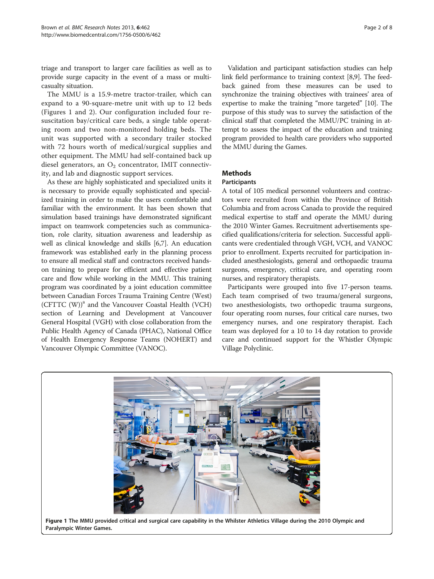triage and transport to larger care facilities as well as to provide surge capacity in the event of a mass or multicasualty situation.

The MMU is a 15.9-metre tractor-trailer, which can expand to a 90-square-metre unit with up to 12 beds (Figures 1 and [2](#page-4-0)). Our configuration included four resuscitation bay/critical care beds, a single table operating room and two non-monitored holding beds. The unit was supported with a secondary trailer stocked with 72 hours worth of medical/surgical supplies and other equipment. The MMU had self-contained back up diesel generators, an  $O_2$  concentrator, IMIT connectivity, and lab and diagnostic support services.

As these are highly sophisticated and specialized units it is necessary to provide equally sophisticated and specialized training in order to make the users comfortable and familiar with the environment. It has been shown that simulation based trainings have demonstrated significant impact on teamwork competencies such as communication, role clarity, situation awareness and leadership as well as clinical knowledge and skills [\[6,7\]](#page-9-0). An education framework was established early in the planning process to ensure all medical staff and contractors received handson training to prepare for efficient and effective patient care and flow while working in the MMU. This training program was coordinated by a joint education committee between Canadian Forces Trauma Training Centre (West)  $(CFTTC (W))^a$  and the Vancouver Coastal Health (VCH) section of Learning and Development at Vancouver General Hospital (VGH) with close collaboration from the Public Health Agency of Canada (PHAC), National Office of Health Emergency Response Teams (NOHERT) and Vancouver Olympic Committee (VANOC).

Validation and participant satisfaction studies can help link field performance to training context [\[8,9](#page-9-0)]. The feedback gained from these measures can be used to synchronize the training objectives with trainees' area of expertise to make the training "more targeted" [\[10\]](#page-9-0). The purpose of this study was to survey the satisfaction of the clinical staff that completed the MMU/PC training in attempt to assess the impact of the education and training program provided to health care providers who supported the MMU during the Games.

# Methods

# **Participants**

A total of 105 medical personnel volunteers and contractors were recruited from within the Province of British Columbia and from across Canada to provide the required medical expertise to staff and operate the MMU during the 2010 Winter Games. Recruitment advertisements specified qualifications/criteria for selection. Successful applicants were credentialed through VGH, VCH, and VANOC prior to enrollment. Experts recruited for participation included anesthesiologists, general and orthopaedic trauma surgeons, emergency, critical care, and operating room nurses, and respiratory therapists.

Participants were grouped into five 17-person teams. Each team comprised of two trauma/general surgeons, two anesthesiologists, two orthopedic trauma surgeons, four operating room nurses, four critical care nurses, two emergency nurses, and one respiratory therapist. Each team was deployed for a 10 to 14 day rotation to provide care and continued support for the Whistler Olympic Village Polyclinic.

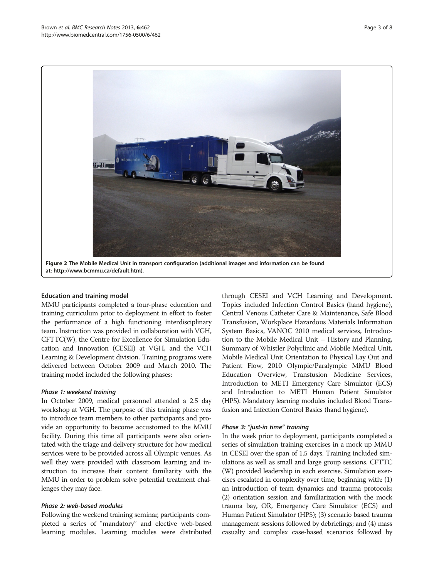<span id="page-4-0"></span>

at:<http://www.bcmmu.ca/default.htm>).

#### Education and training model

MMU participants completed a four-phase education and training curriculum prior to deployment in effort to foster the performance of a high functioning interdisciplinary team. Instruction was provided in collaboration with VGH, CFTTC(W), the Centre for Excellence for Simulation Education and Innovation (CESEI) at VGH, and the VCH Learning & Development division. Training programs were delivered between October 2009 and March 2010. The training model included the following phases:

#### Phase 1: weekend training

In October 2009, medical personnel attended a 2.5 day workshop at VGH. The purpose of this training phase was to introduce team members to other participants and provide an opportunity to become accustomed to the MMU facility. During this time all participants were also orientated with the triage and delivery structure for how medical services were to be provided across all Olympic venues. As well they were provided with classroom learning and instruction to increase their content familiarity with the MMU in order to problem solve potential treatment challenges they may face.

# Phase 2: web-based modules

Following the weekend training seminar, participants completed a series of "mandatory" and elective web-based learning modules. Learning modules were distributed

through CESEI and VCH Learning and Development. Topics included Infection Control Basics (hand hygiene), Central Venous Catheter Care & Maintenance, Safe Blood Transfusion, Workplace Hazardous Materials Information System Basics, VANOC 2010 medical services, Introduction to the Mobile Medical Unit – History and Planning, Summary of Whistler Polyclinic and Mobile Medical Unit, Mobile Medical Unit Orientation to Physical Lay Out and Patient Flow, 2010 Olympic/Paralympic MMU Blood Education Overview, Transfusion Medicine Services, Introduction to METI Emergency Care Simulator (ECS) and Introduction to METI Human Patient Simulator (HPS). Mandatory learning modules included Blood Transfusion and Infection Control Basics (hand hygiene).

#### Phase 3: "just-in time" training

In the week prior to deployment, participants completed a series of simulation training exercises in a mock up MMU in CESEI over the span of 1.5 days. Training included simulations as well as small and large group sessions. CFTTC (W) provided leadership in each exercise. Simulation exercises escalated in complexity over time, beginning with: (1) an introduction of team dynamics and trauma protocols; (2) orientation session and familiarization with the mock trauma bay, OR, Emergency Care Simulator (ECS) and Human Patient Simulator (HPS); (3) scenario based trauma management sessions followed by debriefings; and (4) mass casualty and complex case-based scenarios followed by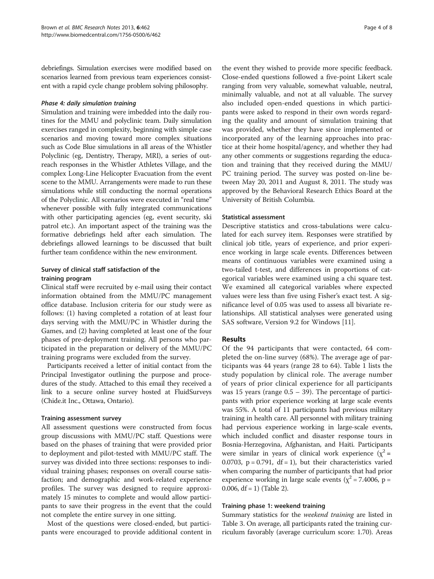debriefings. Simulation exercises were modified based on scenarios learned from previous team experiences consistent with a rapid cycle change problem solving philosophy.

#### Phase 4: daily simulation training

Simulation and training were imbedded into the daily routines for the MMU and polyclinic team. Daily simulation exercises ranged in complexity, beginning with simple case scenarios and moving toward more complex situations such as Code Blue simulations in all areas of the Whistler Polyclinic (eg, Dentistry, Therapy, MRI), a series of outreach responses in the Whistler Athletes Village, and the complex Long-Line Helicopter Evacuation from the event scene to the MMU. Arrangements were made to run these simulations while still conducting the normal operations of the Polyclinic. All scenarios were executed in "real time" whenever possible with fully integrated communications with other participating agencies (eg, event security, ski patrol etc.). An important aspect of the training was the formative debriefings held after each simulation. The debriefings allowed learnings to be discussed that built further team confidence within the new environment.

# Survey of clinical staff satisfaction of the training program

Clinical staff were recruited by e-mail using their contact information obtained from the MMU/PC management office database. Inclusion criteria for our study were as follows: (1) having completed a rotation of at least four days serving with the MMU/PC in Whistler during the Games, and (2) having completed at least one of the four phases of pre-deployment training. All persons who participated in the preparation or delivery of the MMU/PC training programs were excluded from the survey.

Participants received a letter of initial contact from the Principal Investigator outlining the purpose and procedures of the study. Attached to this email they received a link to a secure online survey hosted at FluidSurveys (Chide.it Inc., Ottawa, Ontario).

#### Training assessment survey

All assessment questions were constructed from focus group discussions with MMU/PC staff. Questions were based on the phases of training that were provided prior to deployment and pilot-tested with MMU/PC staff. The survey was divided into three sections: responses to individual training phases; responses on overall course satisfaction; and demographic and work-related experience profiles. The survey was designed to require approximately 15 minutes to complete and would allow participants to save their progress in the event that the could not complete the entire survey in one sitting.

Most of the questions were closed-ended, but participants were encouraged to provide additional content in

the event they wished to provide more specific feedback. Close-ended questions followed a five-point Likert scale ranging from very valuable, somewhat valuable, neutral, minimally valuable, and not at all valuable. The survey also included open-ended questions in which participants were asked to respond in their own words regarding the quality and amount of simulation training that was provided, whether they have since implemented or incorporated any of the learning approaches into practice at their home hospital/agency, and whether they had any other comments or suggestions regarding the education and training that they received during the MMU/ PC training period. The survey was posted on-line between May 20, 2011 and August 8, 2011. The study was approved by the Behavioral Research Ethics Board at the University of British Columbia.

# Statistical assessment

Descriptive statistics and cross-tabulations were calculated for each survey item. Responses were stratified by clinical job title, years of experience, and prior experience working in large scale events. Differences between means of continuous variables were examined using a two-tailed t-test, and differences in proportions of categorical variables were examined using a chi square test. We examined all categorical variables where expected values were less than five using Fisher's exact test. A significance level of 0.05 was used to assess all bivariate relationships. All statistical analyses were generated using SAS software, Version 9.2 for Windows [[11\]](#page-9-0).

# Results

Of the 94 participants that were contacted, 64 completed the on-line survey (68%). The average age of participants was 44 years (range 28 to 64). Table [1](#page-6-0) lists the study population by clinical role. The average number of years of prior clinical experience for all participants was 15 years (range 0.5 – 39). The percentage of participants with prior experience working at large scale events was 55%. A total of 11 participants had previous military training in health care. All personnel with military training had pervious experience working in large-scale events, which included conflict and disaster response tours in Bosnia-Herzegovina, Afghanistan, and Haiti. Participants were similar in years of clinical work experience ( $\chi^2$  = 0.0703,  $p = 0.791$ ,  $df = 1$ ), but their characteristics varied when comparing the number of participants that had prior experience working in large scale events ( $\chi^2$  = 7.4006, p = 0.006,  $df = 1$ ) (Table [2\)](#page-6-0).

# Training phase 1: weekend training

Summary statistics for the weekend training are listed in Table [3.](#page-7-0) On average, all participants rated the training curriculum favorably (average curriculum score: 1.70). Areas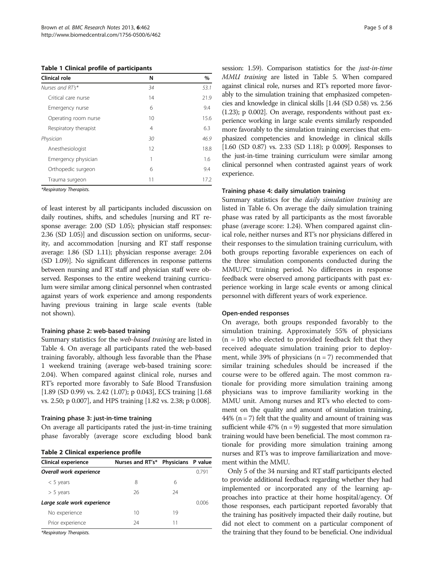<span id="page-6-0"></span>Table 1 Clinical profile of participants

| Clinical role         | N  | $\%$ |
|-----------------------|----|------|
| Nurses and RT's*      | 34 | 53.1 |
| Critical care nurse   | 14 | 21.9 |
| Emergency nurse       | 6  | 9.4  |
| Operating room nurse  | 10 | 15.6 |
| Respiratory therapist | 4  | 6.3  |
| Physician             | 30 | 46.9 |
| Anesthesiologist      | 12 | 18.8 |
| Emergency physician   | 1  | 1.6  |
| Orthopedic surgeon    | 6  | 9.4  |
| Trauma surgeon        | 11 | 17.2 |

\*Respiratory Therapists.

of least interest by all participants included discussion on daily routines, shifts, and schedules [nursing and RT response average: 2.00 (SD 1.05); physician staff responses: 2.36 (SD 1.05)] and discussion section on uniforms, security, and accommodation [nursing and RT staff response average: 1.86 (SD 1.11); physician response average: 2.04 (SD 1.09)]. No significant differences in response patterns between nursing and RT staff and physician staff were observed. Responses to the entire weekend training curriculum were similar among clinical personnel when contrasted against years of work experience and among respondents having previous training in large scale events (table not shown).

#### Training phase 2: web-based training

Summary statistics for the web-based training are listed in Table [4](#page-7-0). On average all participants rated the web-based training favorably, although less favorable than the Phase 1 weekend training (average web-based training score: 2.04). When compared against clinical role, nurses and RT's reported more favorably to Safe Blood Transfusion [1.89 (SD 0.99) vs. 2.42 (1.07); p 0.043], ECS training [1.68 vs. 2.50; p 0.007], and HPS training [1.82 vs. 2.38; p 0.008].

#### Training phase 3: just-in-time training

On average all participants rated the just-in-time training phase favorably (average score excluding blood bank

Table 2 Clinical experience profile

| Table 2 Christial experience promis |                                     |    |       |
|-------------------------------------|-------------------------------------|----|-------|
| Clinical experience                 | Nurses and RT's* Physicians P value |    |       |
| Overall work experience             |                                     |    | 0.791 |
| $<$ 5 years                         | 8                                   | 6  |       |
| $> 5$ years                         | 26                                  | 24 |       |
| Large scale work experience         |                                     |    | 0.006 |
| No experience                       | 10                                  | 19 |       |
| Prior experience                    | 24                                  | 11 |       |

\*Respiratory Therapists.

session: 1.59). Comparison statistics for the *just-in-time* MMU training are listed in Table [5](#page-8-0). When compared against clinical role, nurses and RT's reported more favorably to the simulation training that emphasized competencies and knowledge in clinical skills [1.44 (SD 0.58) vs. 2.56 (1.23); p 0.002]. On average, respondents without past experience working in large scale events similarly responded more favorably to the simulation training exercises that emphasized competencies and knowledge in clinical skills [1.60 (SD 0.87) vs. 2.33 (SD 1.18); p 0.009]. Responses to the just-in-time training curriculum were similar among clinical personnel when contrasted against years of work experience.

#### Training phase 4: daily simulation training

Summary statistics for the *daily simulation training* are listed in Table [6.](#page-8-0) On average the daily simulation training phase was rated by all participants as the most favorable phase (average score: 1.24). When compared against clinical role, neither nurses and RT's nor physicians differed in their responses to the simulation training curriculum, with both groups reporting favorable experiences on each of the three simulation components conducted during the MMU/PC training period. No differences in response feedback were observed among participants with past experience working in large scale events or among clinical personnel with different years of work experience.

#### Open-ended responses

On average, both groups responded favorably to the simulation training. Approximately 55% of physicians  $(n = 10)$  who elected to provided feedback felt that they received adequate simulation training prior to deployment, while 39% of physicians  $(n = 7)$  recommended that similar training schedules should be increased if the course were to be offered again. The most common rationale for providing more simulation training among physicians was to improve familiarity working in the MMU unit. Among nurses and RT's who elected to comment on the quality and amount of simulation training, 44% ( $n = 7$ ) felt that the quality and amount of training was sufficient while  $47\%$  (n = 9) suggested that more simulation training would have been beneficial. The most common rationale for providing more simulation training among nurses and RT's was to improve familiarization and movement within the MMU.

Only 5 of the 34 nursing and RT staff participants elected to provide additional feedback regarding whether they had implemented or incorporated any of the learning approaches into practice at their home hospital/agency. Of those responses, each participant reported favorably that the training has positively impacted their daily routine, but did not elect to comment on a particular component of the training that they found to be beneficial. One individual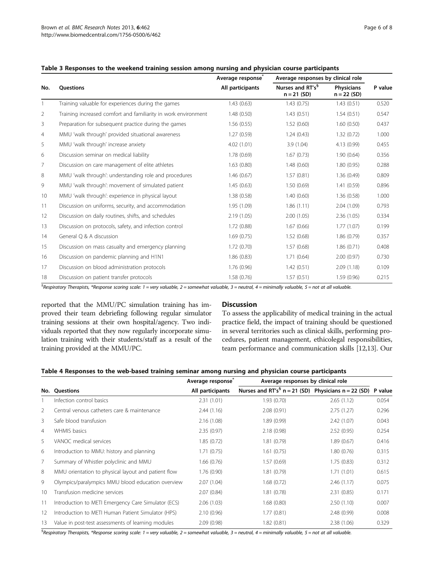|     |                                                                | Average response | Average responses by clinical role            |                                    |         |
|-----|----------------------------------------------------------------|------------------|-----------------------------------------------|------------------------------------|---------|
| No. | <b>Ouestions</b>                                               | All participants | Nurses and RT's <sup>§</sup><br>$n = 21 (SD)$ | <b>Physicians</b><br>$n = 22 (SD)$ | P value |
|     | Training valuable for experiences during the games             | 1.43(0.63)       | 1.43(0.75)                                    | 1.43(0.51)                         | 0.520   |
| 2   | Training increased comfort and familiarity in work environment | 1.48(0.50)       | 1.43(0.51)                                    | 1.54(0.51)                         | 0.547   |
| 3   | Preparation for subsequent practice during the games           | 1.56(0.55)       | 1.52(0.60)                                    | 1.60(0.50)                         | 0.437   |
| 4   | MMU 'walk through' provided situational awareness              | 1.27(0.59)       | 1.24(0.43)                                    | 1.32(0.72)                         | 1.000   |
| 5   | MMU 'walk through' increase anxiety                            | 4.02 (1.01)      | 3.9(1.04)                                     | 4.13 (0.99)                        | 0.455   |
| 6   | Discussion seminar on medical liability                        | 1.78(0.69)       | 1.67(0.73)                                    | 1.90(0.64)                         | 0.356   |
| 7   | Discussion on care management of elite athletes                | 1.63(0.80)       | 1.48(0.60)                                    | 1.80(0.95)                         | 0.288   |
| 8   | MMU 'walk through': understanding role and procedures          | 1.46(0.67)       | 1.57(0.81)                                    | 1.36(0.49)                         | 0.809   |
| 9   | MMU 'walk through': movement of simulated patient              | 1.45(0.63)       | 1.50(0.69)                                    | 1.41(0.59)                         | 0.896   |
| 10  | MMU 'walk through': experience in physical layout              | 1.38(0.58)       | 1.40(0.60)                                    | 1.36(0.58)                         | 1.000   |
| 11  | Discussion on uniforms, security, and accommodation            | 1.95 (1.09)      | 1.86(1.11)                                    | 2.04(1.09)                         | 0.793   |
| 12  | Discussion on daily routines, shifts, and schedules            | 2.19(1.05)       | 2.00(1.05)                                    | 2.36(1.05)                         | 0.334   |
| 13  | Discussion on protocols, safety, and infection control         | 1.72(0.88)       | 1.67(0.66)                                    | 1.77(1.07)                         | 0.199   |
| 14  | General O & A discussion                                       | 1.69(0.75)       | 1.52(0.68)                                    | 1.86(0.79)                         | 0.357   |
| 15  | Discussion on mass casualty and emergency planning             | 1.72(0.70)       | 1.57(0.68)                                    | 1.86(0.71)                         | 0.408   |
| 16  | Discussion on pandemic planning and H1N1                       | 1.86(0.83)       | 1.71(0.64)                                    | 2.00(0.97)                         | 0.730   |
| 17  | Discussion on blood administration protocols                   | 1.76 (0.96)      | 1.42(0.51)                                    | 2.09(1.18)                         | 0.109   |
| 18  | Discussion on patient transfer protocols                       | 1.58(0.76)       | 1.57(0.51)                                    | 1.59(0.96)                         | 0.215   |

#### <span id="page-7-0"></span>Table 3 Responses to the weekend training session among nursing and physician course participants

<sup>§</sup>Respiratory Therapists, \*Response scoring scale: 1 = very valuable, 2 = somewhat valuable, 3 = neutral, 4 = minimally valuable, 5 = not at all valuable.

reported that the MMU/PC simulation training has improved their team debriefing following regular simulator training sessions at their own hospital/agency. Two individuals reported that they now regularly incorporate simulation training with their students/staff as a result of the training provided at the MMU/PC.

#### **Discussion**

To assess the applicability of medical training in the actual practice field, the impact of training should be questioned in several territories such as clinical skills, performing procedures, patient management, ethicolegal responsibilities, team performance and communication skills [\[12,13\]](#page-9-0). Our

| Table 4 Responses to the web-based training seminar among nursing and physician course participants |  |  |
|-----------------------------------------------------------------------------------------------------|--|--|
|                                                                                                     |  |  |

|                |                                                     | Average response | Average responses by clinical role                     |            |         |  |
|----------------|-----------------------------------------------------|------------------|--------------------------------------------------------|------------|---------|--|
| No.            | Questions                                           | All participants | Nurses and $RT's^5$ n = 21 (SD) Physicians n = 22 (SD) |            | P value |  |
|                | Infection control basics                            | 2.31(1.01)       | 1.93(0.70)                                             | 2.65(1.12) | 0.054   |  |
| 2              | Central venous catheters care & maintenance         | 2.44(1.16)       | 2.08(0.91)                                             | 2.75(1.27) | 0.296   |  |
| 3              | Safe blood transfusion                              | 2.16(1.08)       | 1.89(0.99)                                             | 2.42(1.07) | 0.043   |  |
| $\overline{4}$ | WHMIS basics                                        | 2.35(0.97)       | 2.18(0.98)                                             | 2.52(0.95) | 0.254   |  |
| 5              | VANOC medical services                              | 1.85(0.72)       | 1.81(0.79)                                             | 1.89(0.67) | 0.416   |  |
| 6              | Introduction to MMU: history and planning           | 1.71(0.75)       | 1.61(0.75)                                             | 1.80(0.76) | 0.315   |  |
| 7              | Summary of Whistler polyclinic and MMU              | 1.66(0.76)       | 1.57(0.69)                                             | 1.75(0.83) | 0.312   |  |
| 8              | MMU orientation to physical layout and patient flow | 1.76(0.90)       | 1.81(0.79)                                             | 1.71(1.01) | 0.615   |  |
| 9              | Olympics/paralympics MMU blood education overview   | 2.07(1.04)       | 1.68(0.72)                                             | 2.46(1.17) | 0.075   |  |
| 10             | Transfusion medicine services                       | 2.07(0.84)       | 1.81(0.78)                                             | 2.31(0.85) | 0.171   |  |
| 11             | Introduction to METI Emergency Care Simulator (ECS) | 2.06(1.03)       | 1.68(0.80)                                             | 2.50(1.10) | 0.007   |  |
| 12             | Introduction to METI Human Patient Simulator (HPS)  | 2.10(0.96)       | 1.77(0.81)                                             | 2.48(0.99) | 0.008   |  |
| 13             | Value in post-test assessments of learning modules  | 2.09(0.98)       | 1.82(0.81)                                             | 2.38(1.06) | 0.329   |  |

<sup>§</sup>Respiratory Therapists, \*Response scoring scale: 1 = very valuable, 2 = somewhat valuable, 3 = neutral, 4 = minimally valuable, 5 = not at all valuable.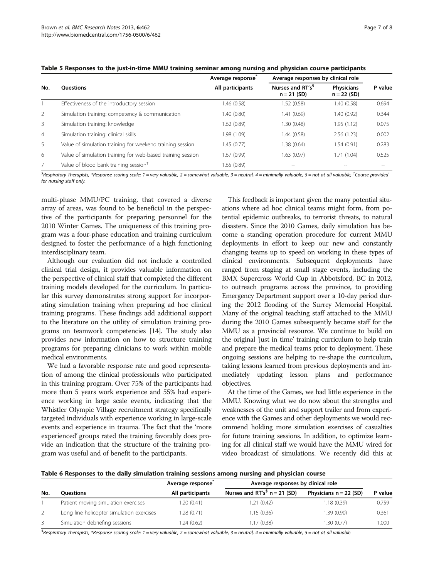|                |                                                             | Average response | Average responses by clinical role            |                                    |         |
|----------------|-------------------------------------------------------------|------------------|-----------------------------------------------|------------------------------------|---------|
| No.            | <b>Ouestions</b>                                            | All participants | Nurses and RT's <sup>§</sup><br>$n = 21 (SD)$ | <b>Physicians</b><br>$n = 22 (SD)$ | P value |
|                | Effectiveness of the introductory session                   | 1.46 (0.58)      | 1.52(0.58)                                    | 1.40 (0.58)                        | 0.694   |
| $\mathcal{P}$  | Simulation training: competency & communication             | 1.40 (0.80)      | 1.41(0.69)                                    | 1.40 (0.92)                        | 0.344   |
| $\overline{3}$ | Simulation training: knowledge                              | 1.62(0.89)       | 1.30(0.48)                                    | 1.95(1.12)                         | 0.075   |
| $\overline{4}$ | Simulation training: clinical skills                        | 1.98 (1.09)      | 1.44(0.58)                                    | 2.56(1.23)                         | 0.002   |
| 5              | Value of simulation training for weekend training session   | 1.45(0.77)       | 1.38(0.64)                                    | 1.54 (0.91)                        | 0.283   |
| 6              | Value of simulation training for web-based training session | 1.67 (0.99)      | 1.63(0.97)                                    | 1.71(1.04)                         | 0.525   |
| $\overline{7}$ | Value of blood bank training session <sup>†</sup>           | 1.65 (0.89)      | $-$                                           |                                    | $- -$   |

<span id="page-8-0"></span>Table 5 Responses to the just-in-time MMU training seminar among nursing and physician course participants

 ${}^{\$}$ Respiratory Therapists, \*Response scoring scale: 1 = very valuable, 2 = somewhat valuable, 3 = neutral, 4 = minimally valuable, 5 = not at all valuable, <sup>†</sup>Course providea for nursing staff only.

multi-phase MMU/PC training, that covered a diverse array of areas, was found to be beneficial in the perspective of the participants for preparing personnel for the 2010 Winter Games. The uniqueness of this training program was a four-phase education and training curriculum designed to foster the performance of a high functioning interdisciplinary team.

Although our evaluation did not include a controlled clinical trial design, it provides valuable information on the perspective of clinical staff that completed the different training models developed for the curriculum. In particular this survey demonstrates strong support for incorporating simulation training when preparing ad hoc clinical training programs. These findings add additional support to the literature on the utility of simulation training programs on teamwork competencies [\[14\]](#page-9-0). The study also provides new information on how to structure training programs for preparing clinicians to work within mobile medical environments.

We had a favorable response rate and good representation of among the clinical professionals who participated in this training program. Over 75% of the participants had more than 5 years work experience and 55% had experience working in large scale events, indicating that the Whistler Olympic Village recruitment strategy specifically targeted individuals with experience working in large-scale events and experience in trauma. The fact that the 'more experienced' groups rated the training favorably does provide an indication that the structure of the training program was useful and of benefit to the participants.

This feedback is important given the many potential situations where ad hoc clinical teams might form, from potential epidemic outbreaks, to terrorist threats, to natural disasters. Since the 2010 Games, daily simulation has become a standing operation procedure for current MMU deployments in effort to keep our new and constantly changing teams up to speed on working in these types of clinical environments. Subsequent deployments have ranged from staging at small stage events, including the BMX Supercross World Cup in Abbotsford, BC in 2012, to outreach programs across the province, to providing Emergency Department support over a 10-day period during the 2012 flooding of the Surrey Memorial Hospital. Many of the original teaching staff attached to the MMU during the 2010 Games subsequently became staff for the MMU as a provincial resource. We continue to build on the original 'just in time' training curriculum to help train and prepare the medical teams prior to deployment. These ongoing sessions are helping to re-shape the curriculum, taking lessons learned from previous deployments and immediately updating lesson plans and performance objectives.

At the time of the Games, we had little experience in the MMU. Knowing what we do now about the strengths and weaknesses of the unit and support trailer and from experience with the Games and other deployments we would recommend holding more simulation exercises of casualties for future training sessions. In addition, to optimize learning for all clinical staff we would have the MMU wired for video broadcast of simulations. We recently did this at

| Table 6 Responses to the daily simulation training sessions among nursing and physician course |  |  |  |  |  |
|------------------------------------------------------------------------------------------------|--|--|--|--|--|
|                                                                                                |  |  |  |  |  |

|     |                                           | Average response | Average responses by clinical role |                          |         |
|-----|-------------------------------------------|------------------|------------------------------------|--------------------------|---------|
| No. | Ouestions                                 | All participants | Nurses and $RT's^5$ n = 21 (SD)    | Physicians $n = 22$ (SD) | P value |
|     | Patient moving simulation exercises       | 1.20 (0.41)      | 1.21 (0.42)                        | 1.18(0.39)               | 0.759   |
|     | Long line helicopter simulation exercises | 1.28 (0.71)      | 1.15(0.36)                         | 1.39(0.90)               | 0.361   |
|     | Simulation debriefing sessions            | 1.24 (0.62)      | 1.17 (0.38)                        | 1.30(0.77)               | 1.000   |

<sup>§</sup>Respiratory Therapists, \*Response scoring scale: 1 = very valuable, 2 = somewhat valuable, 3 = neutral, 4 = minimally valuable, 5 = not at all valuable.